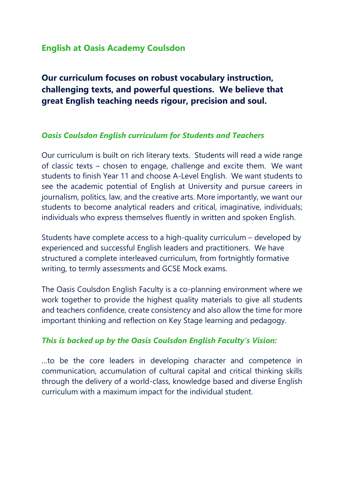# **English at Oasis Academy Coulsdon**

**Our curriculum focuses on robust vocabulary instruction, challenging texts, and powerful questions. We believe that great English teaching needs rigour, precision and soul.**

#### *Oasis Coulsdon English curriculum for Students and Teachers*

Our curriculum is built on rich literary texts. Students will read a wide range of classic texts – chosen to engage, challenge and excite them. We want students to finish Year 11 and choose A-Level English. We want students to see the academic potential of English at University and pursue careers in journalism, politics, law, and the creative arts. More importantly, we want our students to become analytical readers and critical, imaginative, individuals; individuals who express themselves fluently in written and spoken English.

Students have complete access to a high-quality curriculum – developed by experienced and successful English leaders and practitioners. We have structured a complete interleaved curriculum, from fortnightly formative writing, to termly assessments and GCSE Mock exams.

The Oasis Coulsdon English Faculty is a co-planning environment where we work together to provide the highest quality materials to give all students and teachers confidence, create consistency and also allow the time for more important thinking and reflection on Key Stage learning and pedagogy.

#### *This is backed up by the Oasis Coulsdon English Faculty's Vision:*

…to be the core leaders in developing character and competence in communication, accumulation of cultural capital and critical thinking skills through the delivery of a world-class, knowledge based and diverse English curriculum with a maximum impact for the individual student.